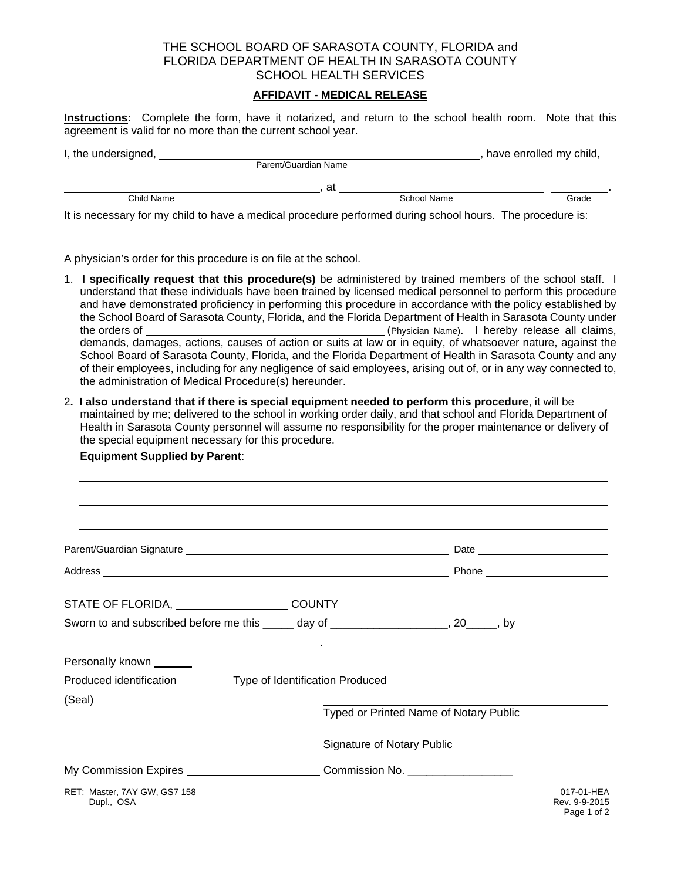## THE SCHOOL BOARD OF SARASOTA COUNTY, FLORIDA and FLORIDA DEPARTMENT OF HEALTH IN SARASOTA COUNTY SCHOOL HEALTH SERVICES

## **AFFIDAVIT - MEDICAL RELEASE**

**Instructions:** Complete the form, have it notarized, and return to the school health room. Note that this agreement is valid for no more than the current school year.

| I, the undersigned, |                                                                                                           | have enrolled my child, |
|---------------------|-----------------------------------------------------------------------------------------------------------|-------------------------|
|                     | Parent/Guardian Name                                                                                      |                         |
|                     | at                                                                                                        |                         |
| Child Name          | School Name                                                                                               | Grade                   |
|                     | It is necessary for my child to have a medical procedure performed during school hours. The procedure is: |                         |

A physician's order for this procedure is on file at the school.

**Equipment Supplied by Parent**:

- 1. **I specifically request that this procedure(s)** be administered by trained members of the school staff. I understand that these individuals have been trained by licensed medical personnel to perform this procedure and have demonstrated proficiency in performing this procedure in accordance with the policy established by the School Board of Sarasota County, Florida, and the Florida Department of Health in Sarasota County under the orders of (Physician Name). I hereby release all claims, demands, damages, actions, causes of action or suits at law or in equity, of whatsoever nature, against the School Board of Sarasota County, Florida, and the Florida Department of Health in Sarasota County and any of their employees, including for any negligence of said employees, arising out of, or in any way connected to, the administration of Medical Procedure(s) hereunder.
- 2**. I also understand that if there is special equipment needed to perform this procedure**, it will be maintained by me; delivered to the school in working order daily, and that school and Florida Department of Health in Sarasota County personnel will assume no responsibility for the proper maintenance or delivery of the special equipment necessary for this procedure.

| STATE OF FLORIDA, COUNTY                                                                            |                                        |                                            |
|-----------------------------------------------------------------------------------------------------|----------------------------------------|--------------------------------------------|
| Sworn to and subscribed before me this ______ day of _____________________, 20_____, by             |                                        |                                            |
| Personally known ______                                                                             |                                        |                                            |
| Produced identification __________Type of Identification Produced _________________________________ |                                        |                                            |
| (Seal)                                                                                              | Typed or Printed Name of Notary Public |                                            |
|                                                                                                     | <b>Signature of Notary Public</b>      |                                            |
| My Commission Expires _________________________________Commission No. _____________________________ |                                        |                                            |
| RET: Master, 7AY GW, GS7 158<br>Dupl., OSA                                                          |                                        | 017-01-HFA<br>Rev. 9-9-2015<br>Page 1 of 2 |